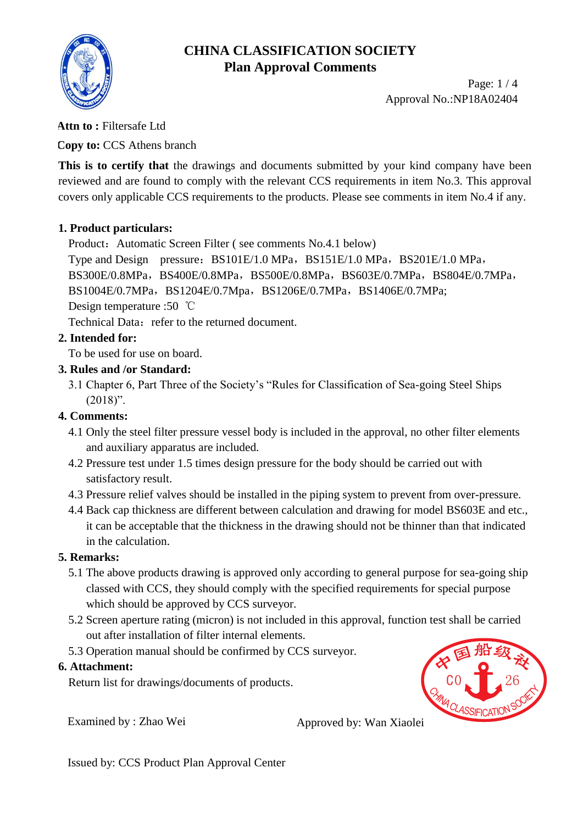

Page: 1 / 4 Approval No.:NP18A02404

### **Attn to :** Filtersafe Ltd

**Copy to:** CCS Athens branch

**This is to certify that** the drawings and documents submitted by your kind company have been reviewed and are found to comply with the relevant CCS requirements in item No.3. This approval covers only applicable CCS requirements to the products. Please see comments in item No.4 if any.

### **1. Product particulars:**

Product: Automatic Screen Filter (see comments No.4.1 below)

Type and Design pressure: BS101E/1.0 MPa, BS151E/1.0 MPa, BS201E/1.0 MPa, BS300E/0.8MPa, BS400E/0.8MPa, BS500E/0.8MPa, BS603E/0.7MPa, BS804E/0.7MPa, BS1004E/0.7MPa, BS1204E/0.7Mpa, BS1206E/0.7MPa, BS1406E/0.7MPa; Design temperature :50 ℃

Technical Data: refer to the returned document.

### **2. Intended for:**

To be used for use on board.

#### **3. Rules and /or Standard:**

3.1 Chapter 6, Part Three of the Society's "Rules for Classification of Sea-going Steel Ships  $(2018)$ ".

### **4. Comments:**

- 4.1 Only the steel filter pressure vessel body is included in the approval, no other filter elements and auxiliary apparatus are included.
- 4.2 Pressure test under 1.5 times design pressure for the body should be carried out with satisfactory result.
- 4.3 Pressure relief valves should be installed in the piping system to prevent from over-pressure.
- 4.4 Back cap thickness are different between calculation and drawing for model BS603E and etc., it can be acceptable that the thickness in the drawing should not be thinner than that indicated in the calculation.

### **5. Remarks:**

- 5.1 The above products drawing is approved only according to general purpose for sea-going ship classed with CCS, they should comply with the specified requirements for special purpose which should be approved by CCS surveyor.
- 5.2 Screen aperture rating (micron) is not included in this approval, function test shall be carried out after installation of filter internal elements.
- 5.3 Operation manual should be confirmed by CCS surveyor. 5.3 Operation manual should be confirmed by CCS surveyor.<br> **Attachment:**<br>
Return list for drawings/documents of products.<br>
Examined by: Zhao Wei Approved by: Wan Xiaolei<br>
Issued by: CCS Product Plan Approval Center Approv

### **6. Attachment:**

Return list for drawings/documents of products.

Examined by : Zhao Wei Approved by: Wan Xiaolei

CHINA CLASSIFICATION SOCIETY

C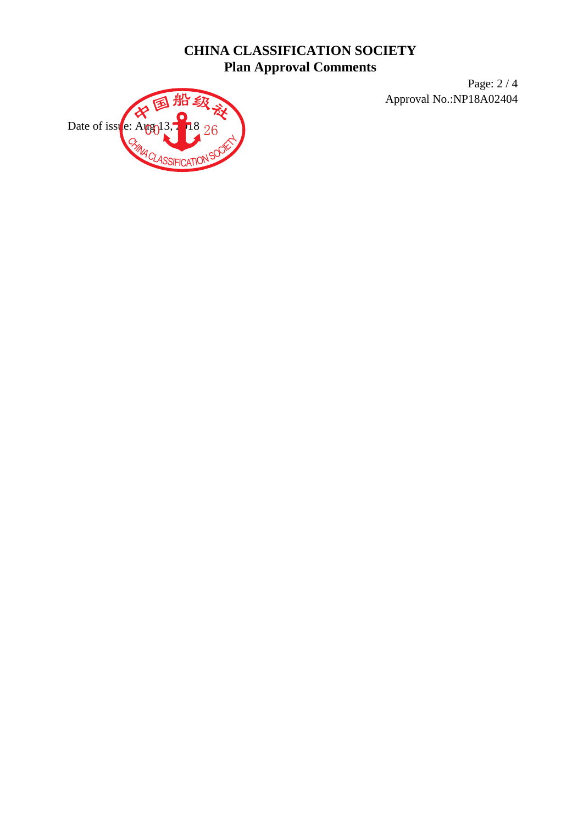Page: 2 / 4 Approval No.:NP18A02404

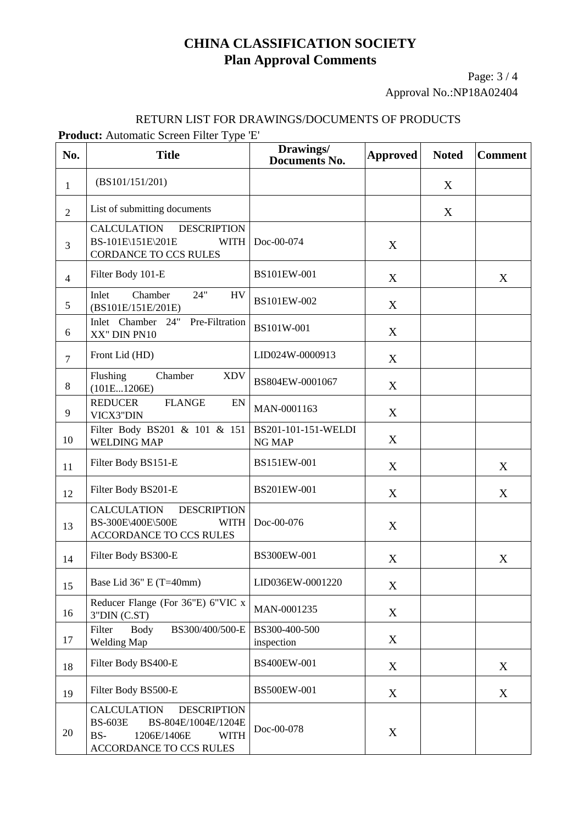Page: 3 / 4 Approval No.:NP18A02404

#### RETURN LIST FOR DRAWINGS/DOCUMENTS OF PRODUCTS

**Product:** Automatic Screen Filter Type 'E'

| No.            | <b>Title</b>                                                                                                                                      | Drawings/<br><b>Documents No.</b>    | <b>Approved</b> | <b>Noted</b> | <b>Comment</b> |
|----------------|---------------------------------------------------------------------------------------------------------------------------------------------------|--------------------------------------|-----------------|--------------|----------------|
| $\mathbf{1}$   | (BS101/151/201)                                                                                                                                   |                                      |                 | X            |                |
| $\overline{2}$ | List of submitting documents                                                                                                                      |                                      |                 | X            |                |
| 3              | <b>CALCULATION</b><br><b>DESCRIPTION</b><br>BS-101E\151E\201E<br><b>WITH</b><br>CORDANCE TO CCS RULES                                             | Doc-00-074                           | X               |              |                |
| $\overline{4}$ | Filter Body 101-E                                                                                                                                 | BS101EW-001                          | X               |              | X              |
| 5              | Chamber<br>24"<br>Inlet<br><b>HV</b><br>(BS101E/151E/201E)                                                                                        | BS101EW-002                          | X               |              |                |
| 6              | Pre-Filtration<br>Inlet Chamber 24"<br>XX" DIN PN10                                                                                               | BS101W-001                           | X               |              |                |
| $\overline{7}$ | Front Lid (HD)                                                                                                                                    | LID024W-0000913                      | X               |              |                |
| 8              | Flushing<br>Chamber<br><b>XDV</b><br>(101E1206E)                                                                                                  | BS804EW-0001067                      | X               |              |                |
| 9              | <b>REDUCER</b><br><b>FLANGE</b><br>EN<br>VICX3"DIN                                                                                                | MAN-0001163                          | X               |              |                |
| 10             | Filter Body BS201 & 101 & 151<br><b>WELDING MAP</b>                                                                                               | BS201-101-151-WELDI<br><b>NG MAP</b> | X               |              |                |
| 11             | Filter Body BS151-E                                                                                                                               | BS151EW-001                          | X               |              | X              |
| 12             | Filter Body BS201-E                                                                                                                               | BS201EW-001                          | X               |              | X              |
| 13             | <b>CALCULATION</b><br><b>DESCRIPTION</b><br>BS-300E\400E\500E<br><b>WITH</b><br>ACCORDANCE TO CCS RULES                                           | Doc-00-076                           | X               |              |                |
| 14             | Filter Body BS300-E                                                                                                                               | BS300EW-001                          | X               |              | X              |
| 15             | Base Lid 36" E (T=40mm)                                                                                                                           | LID036EW-0001220                     | X               |              |                |
| 16             | Reducer Flange (For 36"E) 6"VIC x<br>3"DIN (C.ST)                                                                                                 | MAN-0001235                          | X               |              |                |
| 17             | Filter<br>Body<br>BS300/400/500-E<br><b>Welding Map</b>                                                                                           | BS300-400-500<br>inspection          | X               |              |                |
| 18             | Filter Body BS400-E                                                                                                                               | BS400EW-001                          | X               |              | X              |
| 19             | Filter Body BS500-E                                                                                                                               | BS500EW-001                          | X               |              | X              |
| 20             | <b>CALCULATION</b><br><b>DESCRIPTION</b><br><b>BS-603E</b><br>BS-804E/1004E/1204E<br>BS-<br>1206E/1406E<br><b>WITH</b><br>ACCORDANCE TO CCS RULES | Doc-00-078                           | X               |              |                |